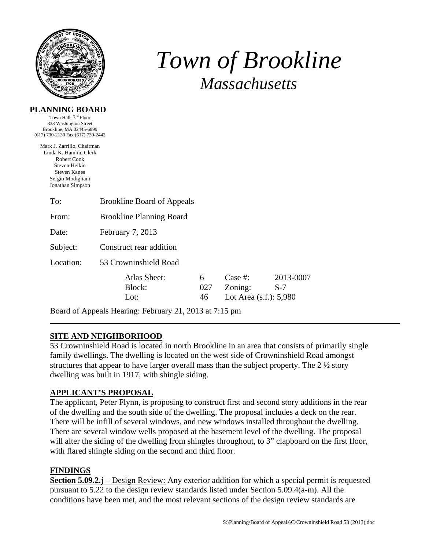

# *Town of Brookline Massachusetts*

#### **PLANNING BOARD**

Town Hall, 3rd Floor 333 Washington Street Brookline, MA 02445-6899 (617) 730-2130 Fax (617) 730-2442

Mark J. Zarrillo, Chairman Linda K. Hamlin, Clerk Robert Cook Steven Heikin Steven Kanes Sergio Modigliani Jonathan Simpson

| To:       | <b>Brookline Board of Appeals</b> |                |                                                 |                    |  |  |
|-----------|-----------------------------------|----------------|-------------------------------------------------|--------------------|--|--|
| From:     | <b>Brookline Planning Board</b>   |                |                                                 |                    |  |  |
| Date:     | February 7, 2013                  |                |                                                 |                    |  |  |
| Subject:  | Construct rear addition           |                |                                                 |                    |  |  |
| Location: | 53 Crowninshield Road             |                |                                                 |                    |  |  |
|           | Atlas Sheet:<br>Block:<br>Lot:    | 6<br>027<br>46 | Case #:<br>Zoning:<br>Lot Area $(s.f.)$ : 5,980 | 2013-0007<br>$S-7$ |  |  |

Board of Appeals Hearing: February 21, 2013 at 7:15 pm

## **SITE AND NEIGHBORHOOD**

53 Crowninshield Road is located in north Brookline in an area that consists of primarily single family dwellings. The dwelling is located on the west side of Crowninshield Road amongst structures that appear to have larger overall mass than the subject property. The 2 ½ story dwelling was built in 1917, with shingle siding.

## **APPLICANT'S PROPOSAL**

The applicant, Peter Flynn, is proposing to construct first and second story additions in the rear of the dwelling and the south side of the dwelling. The proposal includes a deck on the rear. There will be infill of several windows, and new windows installed throughout the dwelling. There are several window wells proposed at the basement level of the dwelling. The proposal will alter the siding of the dwelling from shingles throughout, to 3" clapboard on the first floor, with flared shingle siding on the second and third floor.

## **FINDINGS**

**Section 5.09.2.j** – Design Review: Any exterior addition for which a special permit is requested pursuant to 5.22 to the design review standards listed under Section 5.09.4(a-m). All the conditions have been met, and the most relevant sections of the design review standards are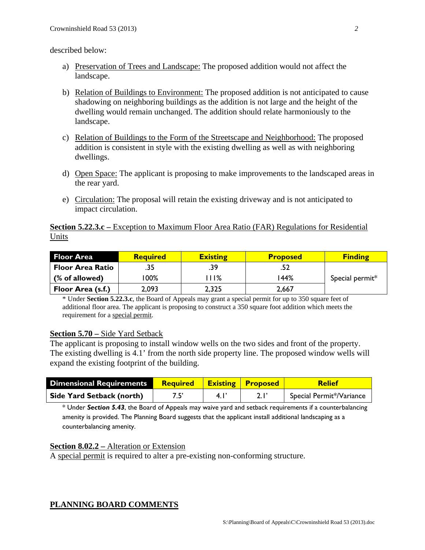described below:

- a) Preservation of Trees and Landscape: The proposed addition would not affect the landscape.
- b) Relation of Buildings to Environment: The proposed addition is not anticipated to cause shadowing on neighboring buildings as the addition is not large and the height of the dwelling would remain unchanged. The addition should relate harmoniously to the landscape.
- c) Relation of Buildings to the Form of the Streetscape and Neighborhood: The proposed addition is consistent in style with the existing dwelling as well as with neighboring dwellings.
- d) Open Space: The applicant is proposing to make improvements to the landscaped areas in the rear yard.
- e) Circulation: The proposal will retain the existing driveway and is not anticipated to impact circulation.

#### **Section 5.22.3.c** – Exception to Maximum Floor Area Ratio (FAR) Regulations for Residential Units

| <b>Floor Area</b>       | <b>Required</b> | <b>Existing</b> | <b>Proposed</b> | <b>Finding</b>  |
|-------------------------|-----------------|-----------------|-----------------|-----------------|
| <b>Floor Area Ratio</b> | .35             | .39             | .52             |                 |
| (% of allowed)          | 00%             | 11%             | '44%            | Special permit* |
| Floor Area (s.f.)       | 2,093           | 2,325           | 2,667           |                 |

\* Under **Section 5.22.3.c**, the Board of Appeals may grant a special permit for up to 350 square feet of additional floor area. The applicant is proposing to construct a 350 square foot addition which meets the requirement for a special permit.

## **Section 5.70 –** Side Yard Setback

The applicant is proposing to install window wells on the two sides and front of the property. The existing dwelling is 4.1' from the north side property line. The proposed window wells will expand the existing footprint of the building.

| <b>Dimensional Requirements</b>  | <b>Required Existing Proposed</b> |     | <b>Relief</b>            |
|----------------------------------|-----------------------------------|-----|--------------------------|
| <b>Side Yard Setback (north)</b> |                                   | 4.1 | Special Permit*/Variance |

\* Under *Section 5.43*, the Board of Appeals may waive yard and setback requirements if a counterbalancing amenity is provided. The Planning Board suggests that the applicant install additional landscaping as a counterbalancing amenity.

## **Section 8.02.2 –** Alteration or Extension

A special permit is required to alter a pre-existing non-conforming structure.

## **PLANNING BOARD COMMENTS**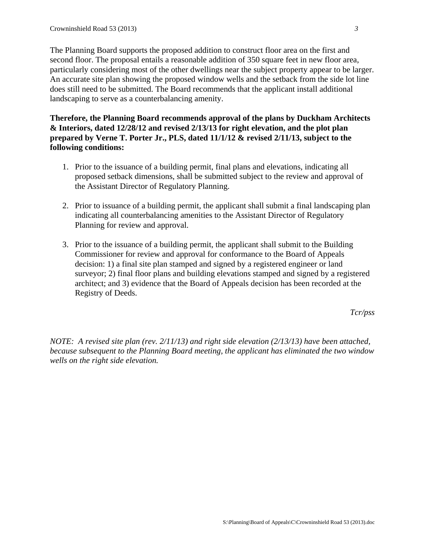The Planning Board supports the proposed addition to construct floor area on the first and second floor. The proposal entails a reasonable addition of 350 square feet in new floor area, particularly considering most of the other dwellings near the subject property appear to be larger. An accurate site plan showing the proposed window wells and the setback from the side lot line does still need to be submitted. The Board recommends that the applicant install additional landscaping to serve as a counterbalancing amenity.

**Therefore, the Planning Board recommends approval of the plans by Duckham Architects & Interiors, dated 12/28/12 and revised 2/13/13 for right elevation, and the plot plan prepared by Verne T. Porter Jr., PLS, dated 11/1/12 & revised 2/11/13, subject to the following conditions:** 

- 1. Prior to the issuance of a building permit, final plans and elevations, indicating all proposed setback dimensions, shall be submitted subject to the review and approval of the Assistant Director of Regulatory Planning.
- 2. Prior to issuance of a building permit, the applicant shall submit a final landscaping plan indicating all counterbalancing amenities to the Assistant Director of Regulatory Planning for review and approval.
- 3. Prior to the issuance of a building permit, the applicant shall submit to the Building Commissioner for review and approval for conformance to the Board of Appeals decision: 1) a final site plan stamped and signed by a registered engineer or land surveyor; 2) final floor plans and building elevations stamped and signed by a registered architect; and 3) evidence that the Board of Appeals decision has been recorded at the Registry of Deeds.

*Tcr/pss* 

*NOTE: A revised site plan (rev. 2/11/13) and right side elevation (2/13/13) have been attached, because subsequent to the Planning Board meeting, the applicant has eliminated the two window wells on the right side elevation.*